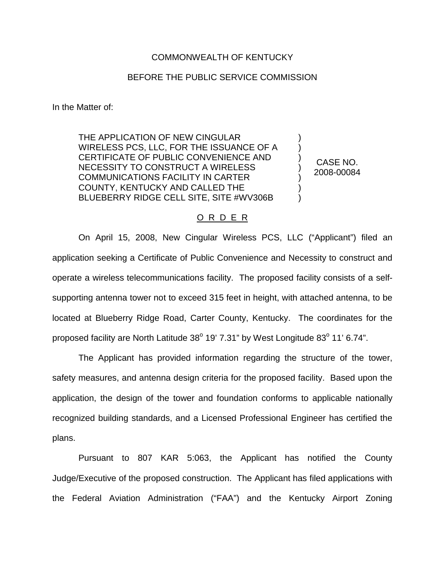## COMMONWEALTH OF KENTUCKY

## BEFORE THE PUBLIC SERVICE COMMISSION

In the Matter of:

THE APPLICATION OF NEW CINGULAR WIRELESS PCS, LLC, FOR THE ISSUANCE OF A CERTIFICATE OF PUBLIC CONVENIENCE AND NECESSITY TO CONSTRUCT A WIRELESS COMMUNICATIONS FACILITY IN CARTER COUNTY, KENTUCKY AND CALLED THE BLUEBERRY RIDGE CELL SITE, SITE #WV306B

CASE NO. 2008-00084

) ) ) ) ) ) )

## O R D E R

On April 15, 2008, New Cingular Wireless PCS, LLC ("Applicant") filed an application seeking a Certificate of Public Convenience and Necessity to construct and operate a wireless telecommunications facility. The proposed facility consists of a selfsupporting antenna tower not to exceed 315 feet in height, with attached antenna, to be located at Blueberry Ridge Road, Carter County, Kentucky. The coordinates for the proposed facility are North Latitude  $38^{\circ}$  19' 7.31" by West Longitude  $83^{\circ}$  11' 6.74".

The Applicant has provided information regarding the structure of the tower, safety measures, and antenna design criteria for the proposed facility. Based upon the application, the design of the tower and foundation conforms to applicable nationally recognized building standards, and a Licensed Professional Engineer has certified the plans.

Pursuant to 807 KAR 5:063, the Applicant has notified the County Judge/Executive of the proposed construction. The Applicant has filed applications with the Federal Aviation Administration ("FAA") and the Kentucky Airport Zoning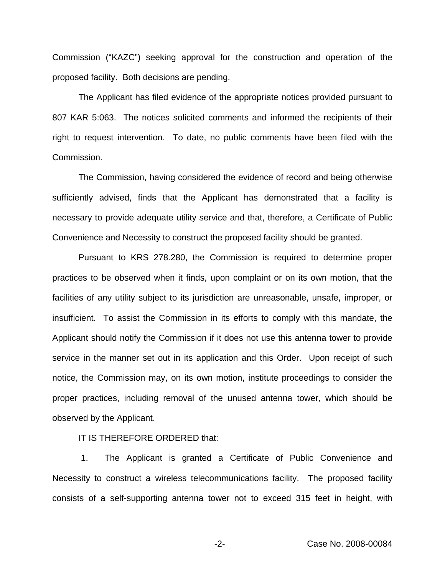Commission ("KAZC") seeking approval for the construction and operation of the proposed facility. Both decisions are pending.

The Applicant has filed evidence of the appropriate notices provided pursuant to 807 KAR 5:063. The notices solicited comments and informed the recipients of their right to request intervention. To date, no public comments have been filed with the Commission.

The Commission, having considered the evidence of record and being otherwise sufficiently advised, finds that the Applicant has demonstrated that a facility is necessary to provide adequate utility service and that, therefore, a Certificate of Public Convenience and Necessity to construct the proposed facility should be granted.

Pursuant to KRS 278.280, the Commission is required to determine proper practices to be observed when it finds, upon complaint or on its own motion, that the facilities of any utility subject to its jurisdiction are unreasonable, unsafe, improper, or insufficient. To assist the Commission in its efforts to comply with this mandate, the Applicant should notify the Commission if it does not use this antenna tower to provide service in the manner set out in its application and this Order. Upon receipt of such notice, the Commission may, on its own motion, institute proceedings to consider the proper practices, including removal of the unused antenna tower, which should be observed by the Applicant.

IT IS THEREFORE ORDERED that:

1. The Applicant is granted a Certificate of Public Convenience and Necessity to construct a wireless telecommunications facility. The proposed facility consists of a self-supporting antenna tower not to exceed 315 feet in height, with